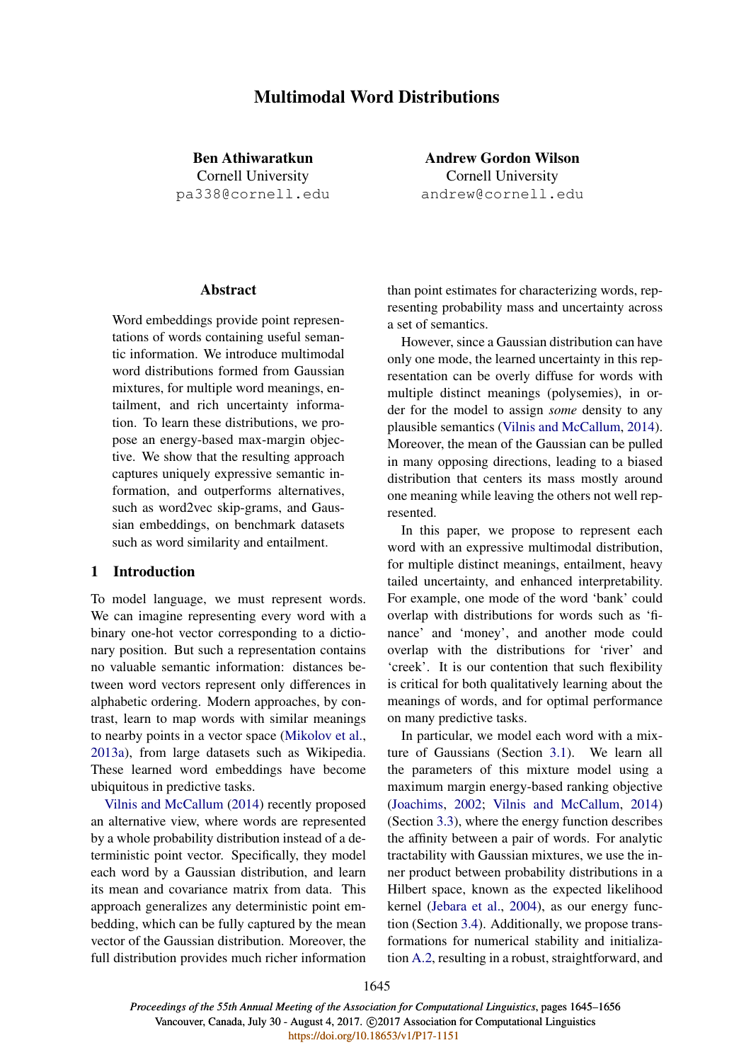# Multimodal Word Distributions

Ben Athiwaratkun Cornell University pa338@cornell.edu

Andrew Gordon Wilson Cornell University andrew@cornell.edu

## **Abstract**

Word embeddings provide point representations of words containing useful semantic information. We introduce multimodal word distributions formed from Gaussian mixtures, for multiple word meanings, entailment, and rich uncertainty information. To learn these distributions, we propose an energy-based max-margin objective. We show that the resulting approach captures uniquely expressive semantic information, and outperforms alternatives, such as word2vec skip-grams, and Gaussian embeddings, on benchmark datasets such as word similarity and entailment.

## 1 Introduction

To model language, we must represent words. We can imagine representing every word with a binary one-hot vector corresponding to a dictionary position. But such a representation contains no valuable semantic information: distances between word vectors represent only differences in alphabetic ordering. Modern approaches, by contrast, learn to map words with similar meanings to nearby points in a vector space (Mikolov et al., 2013a), from large datasets such as Wikipedia. These learned word embeddings have become ubiquitous in predictive tasks.

Vilnis and McCallum (2014) recently proposed an alternative view, where words are represented by a whole probability distribution instead of a deterministic point vector. Specifically, they model each word by a Gaussian distribution, and learn its mean and covariance matrix from data. This approach generalizes any deterministic point embedding, which can be fully captured by the mean vector of the Gaussian distribution. Moreover, the full distribution provides much richer information than point estimates for characterizing words, representing probability mass and uncertainty across a set of semantics.

However, since a Gaussian distribution can have only one mode, the learned uncertainty in this representation can be overly diffuse for words with multiple distinct meanings (polysemies), in order for the model to assign *some* density to any plausible semantics (Vilnis and McCallum, 2014). Moreover, the mean of the Gaussian can be pulled in many opposing directions, leading to a biased distribution that centers its mass mostly around one meaning while leaving the others not well represented.

In this paper, we propose to represent each word with an expressive multimodal distribution, for multiple distinct meanings, entailment, heavy tailed uncertainty, and enhanced interpretability. For example, one mode of the word 'bank' could overlap with distributions for words such as 'finance' and 'money', and another mode could overlap with the distributions for 'river' and 'creek'. It is our contention that such flexibility is critical for both qualitatively learning about the meanings of words, and for optimal performance on many predictive tasks.

In particular, we model each word with a mixture of Gaussians (Section 3.1). We learn all the parameters of this mixture model using a maximum margin energy-based ranking objective (Joachims, 2002; Vilnis and McCallum, 2014) (Section 3.3), where the energy function describes the affinity between a pair of words. For analytic tractability with Gaussian mixtures, we use the inner product between probability distributions in a Hilbert space, known as the expected likelihood kernel (Jebara et al., 2004), as our energy function (Section 3.4). Additionally, we propose transformations for numerical stability and initialization A.2, resulting in a robust, straightforward, and

1645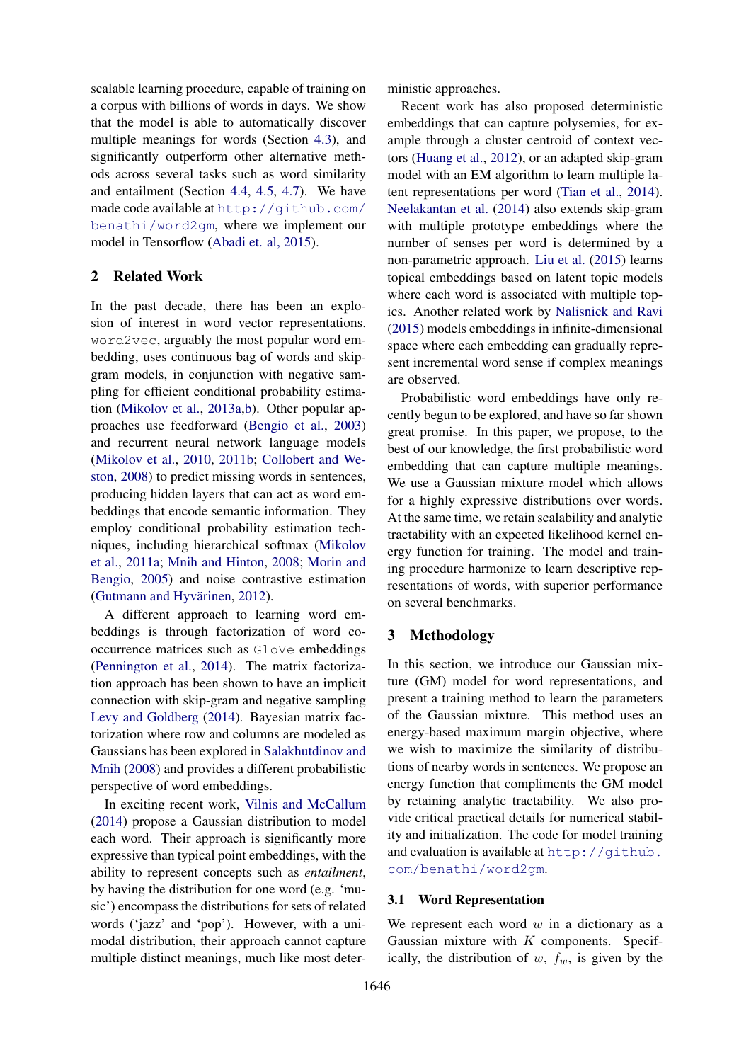scalable learning procedure, capable of training on a corpus with billions of words in days. We show that the model is able to automatically discover multiple meanings for words (Section 4.3), and significantly outperform other alternative methods across several tasks such as word similarity and entailment (Section 4.4, 4.5, 4.7). We have made code available at http://github.com/ benathi/word2gm, where we implement our model in Tensorflow (Abadi et. al, 2015).

## 2 Related Work

In the past decade, there has been an explosion of interest in word vector representations. word2vec, arguably the most popular word embedding, uses continuous bag of words and skipgram models, in conjunction with negative sampling for efficient conditional probability estimation (Mikolov et al., 2013a,b). Other popular approaches use feedforward (Bengio et al., 2003) and recurrent neural network language models (Mikolov et al., 2010, 2011b; Collobert and Weston, 2008) to predict missing words in sentences, producing hidden layers that can act as word embeddings that encode semantic information. They employ conditional probability estimation techniques, including hierarchical softmax (Mikolov et al., 2011a; Mnih and Hinton, 2008; Morin and Bengio, 2005) and noise contrastive estimation (Gutmann and Hyvärinen, 2012).

A different approach to learning word embeddings is through factorization of word cooccurrence matrices such as GloVe embeddings (Pennington et al., 2014). The matrix factorization approach has been shown to have an implicit connection with skip-gram and negative sampling Levy and Goldberg (2014). Bayesian matrix factorization where row and columns are modeled as Gaussians has been explored in Salakhutdinov and Mnih (2008) and provides a different probabilistic perspective of word embeddings.

In exciting recent work, Vilnis and McCallum (2014) propose a Gaussian distribution to model each word. Their approach is significantly more expressive than typical point embeddings, with the ability to represent concepts such as *entailment*, by having the distribution for one word (e.g. 'music') encompass the distributions for sets of related words ('jazz' and 'pop'). However, with a unimodal distribution, their approach cannot capture multiple distinct meanings, much like most deterministic approaches.

Recent work has also proposed deterministic embeddings that can capture polysemies, for example through a cluster centroid of context vectors (Huang et al., 2012), or an adapted skip-gram model with an EM algorithm to learn multiple latent representations per word (Tian et al., 2014). Neelakantan et al. (2014) also extends skip-gram with multiple prototype embeddings where the number of senses per word is determined by a non-parametric approach. Liu et al. (2015) learns topical embeddings based on latent topic models where each word is associated with multiple topics. Another related work by Nalisnick and Ravi (2015) models embeddings in infinite-dimensional space where each embedding can gradually represent incremental word sense if complex meanings are observed.

Probabilistic word embeddings have only recently begun to be explored, and have so far shown great promise. In this paper, we propose, to the best of our knowledge, the first probabilistic word embedding that can capture multiple meanings. We use a Gaussian mixture model which allows for a highly expressive distributions over words. At the same time, we retain scalability and analytic tractability with an expected likelihood kernel energy function for training. The model and training procedure harmonize to learn descriptive representations of words, with superior performance on several benchmarks.

### 3 Methodology

In this section, we introduce our Gaussian mixture (GM) model for word representations, and present a training method to learn the parameters of the Gaussian mixture. This method uses an energy-based maximum margin objective, where we wish to maximize the similarity of distributions of nearby words in sentences. We propose an energy function that compliments the GM model by retaining analytic tractability. We also provide critical practical details for numerical stability and initialization. The code for model training and evaluation is available at http://github. com/benathi/word2gm.

### 3.1 Word Representation

We represent each word  $w$  in a dictionary as a Gaussian mixture with  $K$  components. Specifically, the distribution of  $w$ ,  $f_w$ , is given by the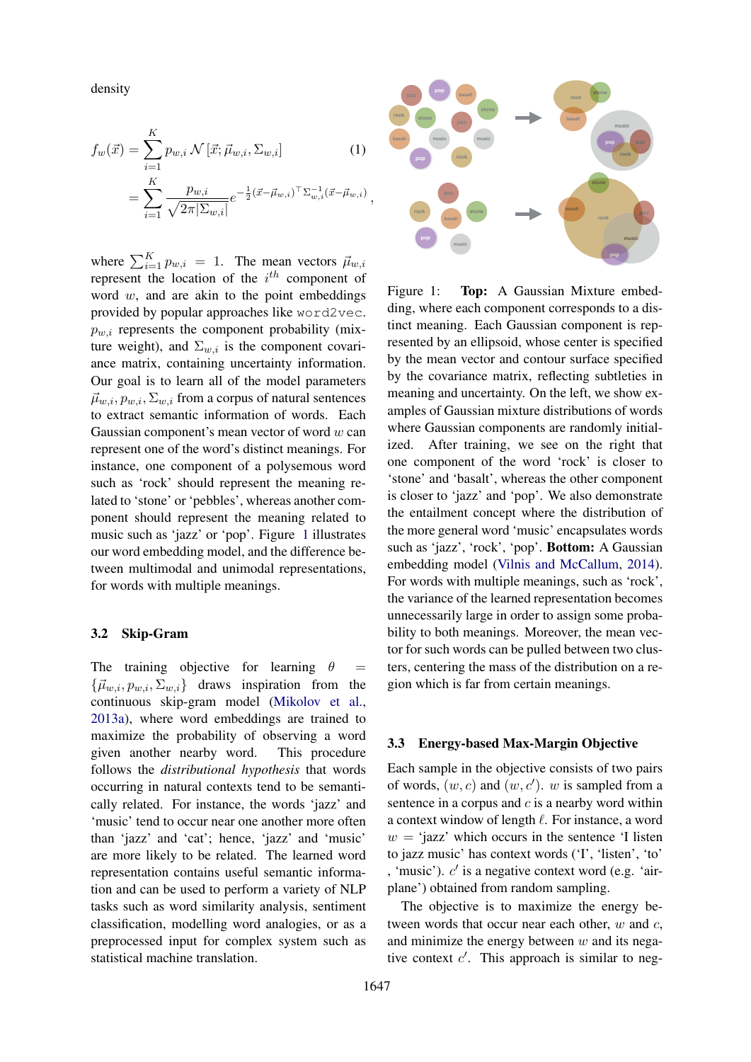density

$$
f_w(\vec{x}) = \sum_{i=1}^K p_{w,i} \mathcal{N}[\vec{x}; \vec{\mu}_{w,i}, \Sigma_{w,i}]
$$
(1)  
= 
$$
\sum_{i=1}^K \frac{p_{w,i}}{\sqrt{2\pi |\Sigma_{w,i}|}} e^{-\frac{1}{2}(\vec{x} - \vec{\mu}_{w,i})^\top \Sigma_{w,i}^{-1}(\vec{x} - \vec{\mu}_{w,i})},
$$

where  $\sum_{i=1}^{K} p_{w,i} = 1$ . The mean vectors  $\vec{\mu}_{w,i}$ represent the location of the  $i^{th}$  component of word  $w$ , and are akin to the point embeddings provided by popular approaches like word2vec.  $p_{w,i}$  represents the component probability (mixture weight), and  $\Sigma_{w,i}$  is the component covariance matrix, containing uncertainty information. Our goal is to learn all of the model parameters  $\vec{\mu}_{w,i}, p_{w,i}, \Sigma_{w,i}$  from a corpus of natural sentences to extract semantic information of words. Each Gaussian component's mean vector of word  $w$  can represent one of the word's distinct meanings. For instance, one component of a polysemous word such as 'rock' should represent the meaning related to 'stone' or 'pebbles', whereas another component should represent the meaning related to music such as 'jazz' or 'pop'. Figure 1 illustrates our word embedding model, and the difference between multimodal and unimodal representations, for words with multiple meanings.

### 3.2 Skip-Gram

The training objective for learning  $\theta =$  ${\{\vec{\mu}_{w,i}, p_{w,i}, \Sigma_{w,i}\}}$  draws inspiration from the continuous skip-gram model (Mikolov et al., 2013a), where word embeddings are trained to maximize the probability of observing a word given another nearby word. This procedure follows the *distributional hypothesis* that words occurring in natural contexts tend to be semantically related. For instance, the words 'jazz' and 'music' tend to occur near one another more often than 'jazz' and 'cat'; hence, 'jazz' and 'music' are more likely to be related. The learned word representation contains useful semantic information and can be used to perform a variety of NLP tasks such as word similarity analysis, sentiment classification, modelling word analogies, or as a preprocessed input for complex system such as statistical machine translation.



Figure 1: **Top:** A Gaussian Mixture embedding, where each component corresponds to a distinct meaning. Each Gaussian component is represented by an ellipsoid, whose center is specified by the mean vector and contour surface specified by the covariance matrix, reflecting subtleties in meaning and uncertainty. On the left, we show examples of Gaussian mixture distributions of words where Gaussian components are randomly initialized. After training, we see on the right that one component of the word 'rock' is closer to 'stone' and 'basalt', whereas the other component is closer to 'jazz' and 'pop'. We also demonstrate the entailment concept where the distribution of the more general word 'music' encapsulates words such as 'jazz', 'rock', 'pop'. Bottom: A Gaussian embedding model (Vilnis and McCallum, 2014). For words with multiple meanings, such as 'rock', the variance of the learned representation becomes unnecessarily large in order to assign some probability to both meanings. Moreover, the mean vector for such words can be pulled between two clusters, centering the mass of the distribution on a region which is far from certain meanings.

### 3.3 Energy-based Max-Margin Objective

Each sample in the objective consists of two pairs of words,  $(w, c)$  and  $(w, c')$ . w is sampled from a sentence in a corpus and  $c$  is a nearby word within a context window of length  $\ell$ . For instance, a word  $w = 'jazz'$  which occurs in the sentence 'I listen to jazz music' has context words ('I', 'listen', 'to' , 'music').  $c'$  is a negative context word (e.g. 'airplane') obtained from random sampling.

The objective is to maximize the energy between words that occur near each other,  $w$  and  $c$ , and minimize the energy between  $w$  and its negative context  $c'$ . This approach is similar to neg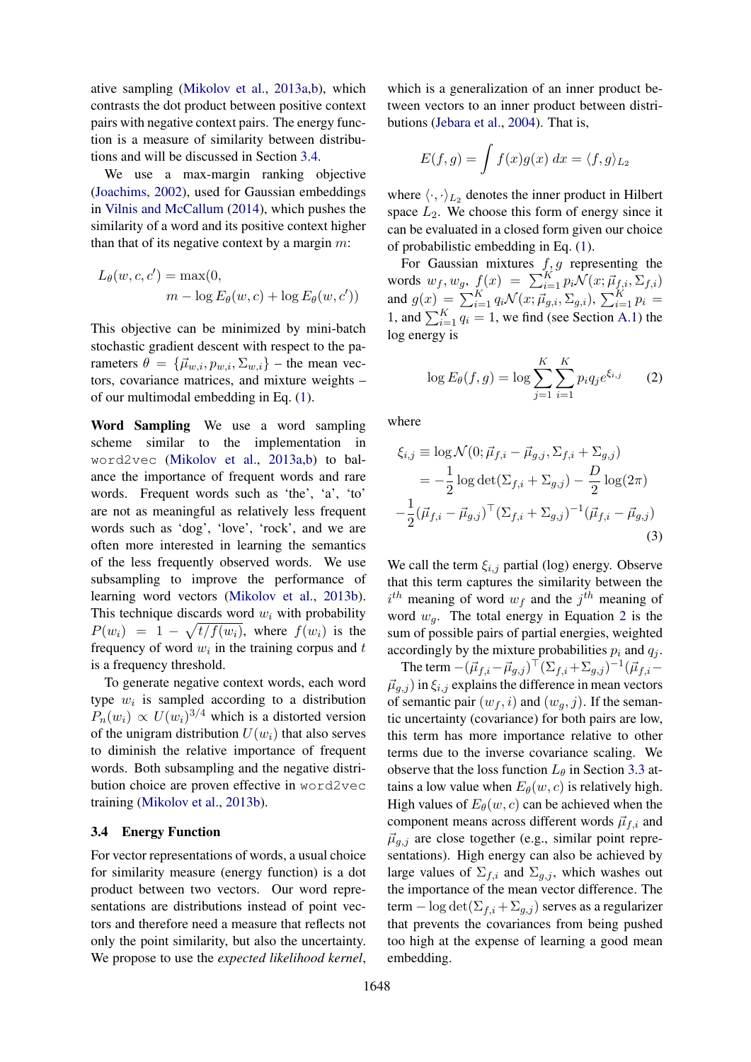ative sampling (Mikolov et al., 2013a,b), which contrasts the dot product between positive context pairs with negative context pairs. The energy function is a measure of similarity between distributions and will be discussed in Section 3.4.

We use a max-margin ranking objective (Joachims, 2002), used for Gaussian embeddings in Vilnis and McCallum (2014), which pushes the similarity of a word and its positive context higher than that of its negative context by a margin  $m$ :

$$
L_{\theta}(w, c, c') = \max(0, m - \log E_{\theta}(w, c) + \log E_{\theta}(w, c'))
$$

This objective can be minimized by mini-batch stochastic gradient descent with respect to the parameters  $\theta = {\vec{\mu}_{w,i}, p_{w,i}, \Sigma_{w,i}}$  – the mean vectors, covariance matrices, and mixture weights – of our multimodal embedding in Eq. (1).

Word Sampling We use a word sampling scheme similar to the implementation in word2vec (Mikolov et al., 2013a,b) to balance the importance of frequent words and rare words. Frequent words such as 'the', 'a', 'to' are not as meaningful as relatively less frequent words such as 'dog', 'love', 'rock', and we are often more interested in learning the semantics of the less frequently observed words. We use subsampling to improve the performance of learning word vectors (Mikolov et al., 2013b). This technique discards word  $w_i$  with probability  $P(w_i) = 1 - \sqrt{t/f(w_i)}$ , where  $f(w_i)$  is the frequency of word  $w_i$  in the training corpus and  $t$ is a frequency threshold.

To generate negative context words, each word type  $w_i$  is sampled according to a distribution  $P_n(w_i) \propto U(w_i)^{3/4}$  which is a distorted version of the unigram distribution  $U(w_i)$  that also serves to diminish the relative importance of frequent words. Both subsampling and the negative distribution choice are proven effective in word2vec training (Mikolov et al., 2013b).

### 3.4 Energy Function

For vector representations of words, a usual choice for similarity measure (energy function) is a dot product between two vectors. Our word representations are distributions instead of point vectors and therefore need a measure that reflects not only the point similarity, but also the uncertainty. We propose to use the *expected likelihood kernel*,

which is a generalization of an inner product between vectors to an inner product between distributions (Jebara et al., 2004). That is,

$$
E(f,g) = \int f(x)g(x) \, dx = \langle f, g \rangle_{L_2}
$$

where  $\langle \cdot, \cdot \rangle_{L_2}$  denotes the inner product in Hilbert space  $L_2$ . We choose this form of energy since it can be evaluated in a closed form given our choice of probabilistic embedding in Eq. (1).

For Gaussian mixtures  $f, g$  representing the words  $w_f, w_g, f(x) = \sum_{i=1}^K p_i \mathcal{N}(x; \vec{\mu}_{f,i}, \Sigma_{f,i})$ and  $g(x) = \sum_{i=1}^{K} q_i \mathcal{N}(x; \vec{\mu}_{g,i}, \Sigma_{g,i})$ ,  $\sum_{i=1}^{K} p_i =$ 1, and  $\sum_{i=1}^{K} q_i = 1$ , we find (see Section A.1) the log energy is

$$
\log E_{\theta}(f,g) = \log \sum_{j=1}^{K} \sum_{i=1}^{K} p_i q_j e^{\xi_{i,j}} \qquad (2)
$$

where

$$
\xi_{i,j} \equiv \log \mathcal{N}(0; \vec{\mu}_{f,i} - \vec{\mu}_{g,j}, \Sigma_{f,i} + \Sigma_{g,j})
$$
  
=  $-\frac{1}{2} \log \det(\Sigma_{f,i} + \Sigma_{g,j}) - \frac{D}{2} \log(2\pi)$   
 $-\frac{1}{2} (\vec{\mu}_{f,i} - \vec{\mu}_{g,j})^{\top} (\Sigma_{f,i} + \Sigma_{g,j})^{-1} (\vec{\mu}_{f,i} - \vec{\mu}_{g,j})$  (3)

We call the term  $\xi_{i,j}$  partial (log) energy. Observe that this term captures the similarity between the  $i^{th}$  meaning of word  $w_f$  and the  $j^{th}$  meaning of word  $w_a$ . The total energy in Equation 2 is the sum of possible pairs of partial energies, weighted accordingly by the mixture probabilities  $p_i$  and  $q_j$ .

The term  $-(\vec{\mu}_{f,i}-\vec{\mu}_{g,j})^{\top}(\Sigma_{f,i}+\Sigma_{g,j})^{-1}(\vec{\mu}_{f,i} \vec{\mu}_{q,j}$  in  $\xi_{i,j}$  explains the difference in mean vectors of semantic pair  $(w_f, i)$  and  $(w_g, j)$ . If the semantic uncertainty (covariance) for both pairs are low, this term has more importance relative to other terms due to the inverse covariance scaling. We observe that the loss function  $L_{\theta}$  in Section 3.3 attains a low value when  $E_{\theta}(w, c)$  is relatively high. High values of  $E_{\theta}(w, c)$  can be achieved when the component means across different words  $\vec{\mu}_{f,i}$  and  $\vec{\mu}_{q,j}$  are close together (e.g., similar point representations). High energy can also be achieved by large values of  $\Sigma_{f,i}$  and  $\Sigma_{g,j}$ , which washes out the importance of the mean vector difference. The term – log det $(\Sigma_{f,i} + \Sigma_{g,j})$  serves as a regularizer that prevents the covariances from being pushed too high at the expense of learning a good mean embedding.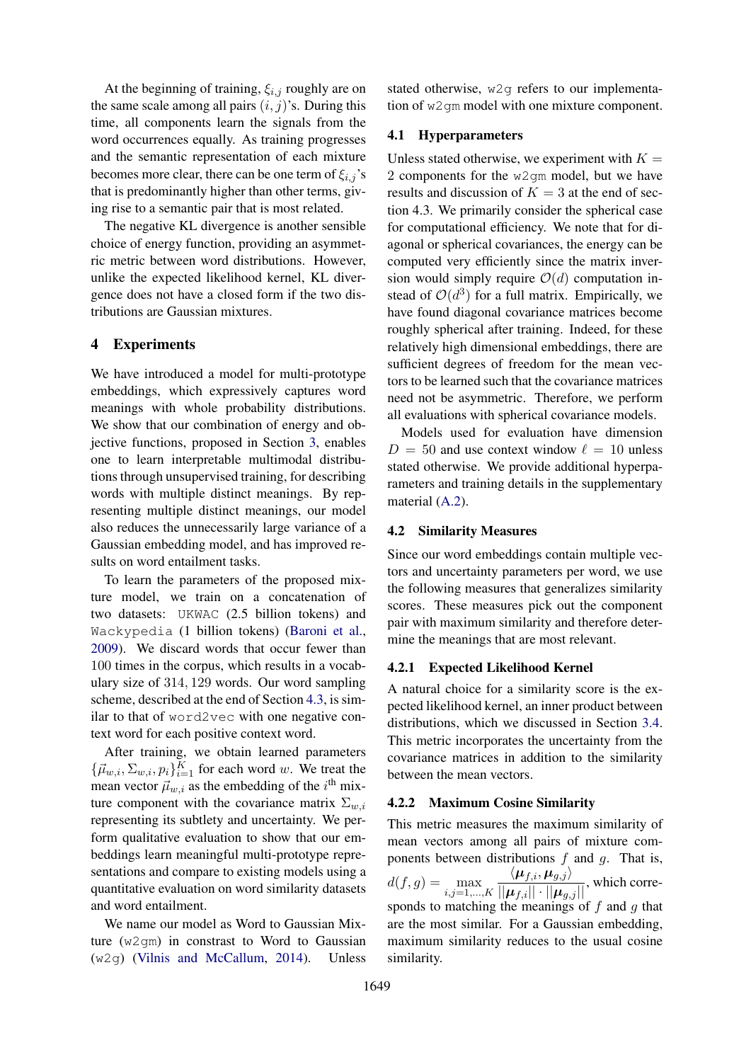At the beginning of training,  $\xi_{i,j}$  roughly are on the same scale among all pairs  $(i, j)$ 's. During this time, all components learn the signals from the word occurrences equally. As training progresses and the semantic representation of each mixture becomes more clear, there can be one term of  $\xi_{i,j}$ 's that is predominantly higher than other terms, giving rise to a semantic pair that is most related.

The negative KL divergence is another sensible choice of energy function, providing an asymmetric metric between word distributions. However, unlike the expected likelihood kernel, KL divergence does not have a closed form if the two distributions are Gaussian mixtures.

### 4 Experiments

We have introduced a model for multi-prototype embeddings, which expressively captures word meanings with whole probability distributions. We show that our combination of energy and objective functions, proposed in Section 3, enables one to learn interpretable multimodal distributions through unsupervised training, for describing words with multiple distinct meanings. By representing multiple distinct meanings, our model also reduces the unnecessarily large variance of a Gaussian embedding model, and has improved results on word entailment tasks.

To learn the parameters of the proposed mixture model, we train on a concatenation of two datasets: UKWAC (2.5 billion tokens) and Wackypedia (1 billion tokens) (Baroni et al., 2009). We discard words that occur fewer than 100 times in the corpus, which results in a vocabulary size of 314, 129 words. Our word sampling scheme, described at the end of Section 4.3, is similar to that of word2vec with one negative context word for each positive context word.

After training, we obtain learned parameters  ${\{\vec{\mu}_{w,i}, \Sigma_{w,i}, p_i\}}_{i=1}^K$  for each word w. We treat the mean vector  $\vec{\mu}_{w,i}$  as the embedding of the i<sup>th</sup> mixture component with the covariance matrix  $\Sigma_{w,i}$ representing its subtlety and uncertainty. We perform qualitative evaluation to show that our embeddings learn meaningful multi-prototype representations and compare to existing models using a quantitative evaluation on word similarity datasets and word entailment.

We name our model as Word to Gaussian Mixture (w2gm) in constrast to Word to Gaussian (w2g) (Vilnis and McCallum, 2014). Unless

stated otherwise, w2g refers to our implementation of w2qm model with one mixture component.

## 4.1 Hyperparameters

Unless stated otherwise, we experiment with  $K =$ 2 components for the w2gm model, but we have results and discussion of  $K = 3$  at the end of section 4.3. We primarily consider the spherical case for computational efficiency. We note that for diagonal or spherical covariances, the energy can be computed very efficiently since the matrix inversion would simply require  $\mathcal{O}(d)$  computation instead of  $\mathcal{O}(d^3)$  for a full matrix. Empirically, we have found diagonal covariance matrices become roughly spherical after training. Indeed, for these relatively high dimensional embeddings, there are sufficient degrees of freedom for the mean vectors to be learned such that the covariance matrices need not be asymmetric. Therefore, we perform all evaluations with spherical covariance models.

Models used for evaluation have dimension  $D = 50$  and use context window  $\ell = 10$  unless stated otherwise. We provide additional hyperparameters and training details in the supplementary material (A.2).

### 4.2 Similarity Measures

Since our word embeddings contain multiple vectors and uncertainty parameters per word, we use the following measures that generalizes similarity scores. These measures pick out the component pair with maximum similarity and therefore determine the meanings that are most relevant.

### 4.2.1 Expected Likelihood Kernel

A natural choice for a similarity score is the expected likelihood kernel, an inner product between distributions, which we discussed in Section 3.4. This metric incorporates the uncertainty from the covariance matrices in addition to the similarity between the mean vectors.

### 4.2.2 Maximum Cosine Similarity

This metric measures the maximum similarity of mean vectors among all pairs of mixture components between distributions  $f$  and  $g$ . That is,  $d(f, g) = \max_{i,j=1,...,K}$  $\frac{\langle \mu_{f,i}, \mu_{g,j} \rangle}{||\mu_{f,i}|| \cdot ||\mu_{g,j}||}$ , which corresponds to matching the meanings of  $f$  and  $g$  that are the most similar. For a Gaussian embedding, maximum similarity reduces to the usual cosine similarity.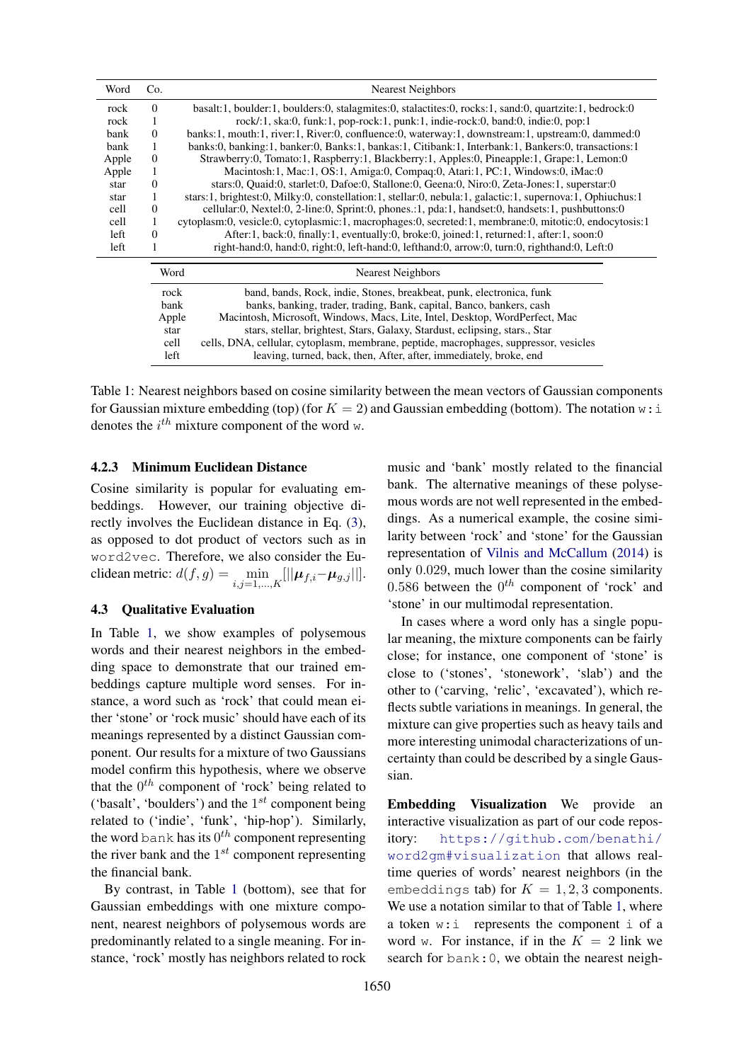| Word  | Co.      | <b>Nearest Neighbors</b>                                                                                  |  |  |  |  |  |
|-------|----------|-----------------------------------------------------------------------------------------------------------|--|--|--|--|--|
| rock  | $\Omega$ | basalt:1, boulder:1, boulders:0, stalagmites:0, stalactites:0, rocks:1, sand:0, quartzite:1, bedrock:0    |  |  |  |  |  |
| rock  |          | $rock/1, ska:0, funk:1, pop-rock:1, punk:1, indie-rock:0, band:0, indie:0, pop:1$                         |  |  |  |  |  |
| bank  | $\theta$ | banks:1, mouth:1, river:1, River:0, confluence:0, waterway:1, downstream:1, upstream:0, dammed:0          |  |  |  |  |  |
| bank  |          | banks:0, banking:1, banker:0, Banks:1, bankas:1, Citibank:1, Interbank:1, Bankers:0, transactions:1       |  |  |  |  |  |
| Apple | $\Omega$ | Strawberry:0, Tomato:1, Raspberry:1, Blackberry:1, Apples:0, Pineapple:1, Grape:1, Lemon:0                |  |  |  |  |  |
| Apple | 1        | Macintosh:1, Mac:1, OS:1, Amiga:0, Compaq:0, Atari:1, PC:1, Windows:0, iMac:0                             |  |  |  |  |  |
| star  | $\Omega$ | stars:0, Quaid:0, starlet:0, Dafoe:0, Stallone:0, Geena:0, Niro:0, Zeta-Jones:1, superstar:0              |  |  |  |  |  |
| star  |          | stars:1, brightest:0, Milky:0, constellation:1, stellar:0, nebula:1, galactic:1, supernova:1, Ophiuchus:1 |  |  |  |  |  |
| cell  | 0        | cellular:0, Nextel:0, 2-line:0, Sprint:0, phones.:1, pda:1, handset:0, handsets:1, pushbuttons:0          |  |  |  |  |  |
| cell  | 1        | cytoplasm:0, vesicle:0, cytoplasmic:1, macrophages:0, secreted:1, membrane:0, mitotic:0, endocytosis:1    |  |  |  |  |  |
| left  | $\Omega$ | After:1, back:0, finally:1, eventually:0, broke:0, joined:1, returned:1, after:1, soon:0                  |  |  |  |  |  |
| left  |          | right-hand:0, hand:0, right:0, left-hand:0, lefthand:0, arrow:0, turn:0, righthand:0, Left:0              |  |  |  |  |  |
|       |          | Word<br><b>Nearest Neighbors</b>                                                                          |  |  |  |  |  |
|       |          | band, bands, Rock, indie, Stones, breakbeat, punk, electronica, funk<br>rock                              |  |  |  |  |  |
|       |          | bank<br>banks, banking, trader, trading, Bank, capital, Banco, bankers, cash                              |  |  |  |  |  |
|       |          | Macintosh, Microsoft, Windows, Macs, Lite, Intel, Desktop, WordPerfect, Mac<br>Apple                      |  |  |  |  |  |
|       |          | stars, stellar, brightest, Stars, Galaxy, Stardust, eclipsing, stars., Star<br>star                       |  |  |  |  |  |
|       |          | cells, DNA, cellular, cytoplasm, membrane, peptide, macrophages, suppressor, vesicles<br>cell             |  |  |  |  |  |
|       |          | leaving, turned, back, then, After, after, immediately, broke, end<br>left                                |  |  |  |  |  |

Table 1: Nearest neighbors based on cosine similarity between the mean vectors of Gaussian components for Gaussian mixture embedding (top) (for  $K = 2$ ) and Gaussian embedding (bottom). The notation w: i denotes the  $i^{th}$  mixture component of the word w.

### 4.2.3 Minimum Euclidean Distance

Cosine similarity is popular for evaluating embeddings. However, our training objective directly involves the Euclidean distance in Eq. (3), as opposed to dot product of vectors such as in word2vec. Therefore, we also consider the Euclidean metric:  $d(f,g) = \min_{i,j=1,...,K} [||\boldsymbol{\mu}_{f,i} - \boldsymbol{\mu}_{g,j}||].$ 

## 4.3 Qualitative Evaluation

In Table 1, we show examples of polysemous words and their nearest neighbors in the embedding space to demonstrate that our trained embeddings capture multiple word senses. For instance, a word such as 'rock' that could mean either 'stone' or 'rock music' should have each of its meanings represented by a distinct Gaussian component. Our results for a mixture of two Gaussians model confirm this hypothesis, where we observe that the  $0^{th}$  component of 'rock' being related to ('basalt', 'boulders') and the  $1^{st}$  component being related to ('indie', 'funk', 'hip-hop'). Similarly, the word bank has its  $0^{th}$  component representing the river bank and the  $1^{st}$  component representing the financial bank.

By contrast, in Table 1 (bottom), see that for Gaussian embeddings with one mixture component, nearest neighbors of polysemous words are predominantly related to a single meaning. For instance, 'rock' mostly has neighbors related to rock

music and 'bank' mostly related to the financial bank. The alternative meanings of these polysemous words are not well represented in the embeddings. As a numerical example, the cosine similarity between 'rock' and 'stone' for the Gaussian representation of Vilnis and McCallum (2014) is only 0.029, much lower than the cosine similarity 0.586 between the  $0^{th}$  component of 'rock' and 'stone' in our multimodal representation.

In cases where a word only has a single popular meaning, the mixture components can be fairly close; for instance, one component of 'stone' is close to ('stones', 'stonework', 'slab') and the other to ('carving, 'relic', 'excavated'), which reflects subtle variations in meanings. In general, the mixture can give properties such as heavy tails and more interesting unimodal characterizations of uncertainty than could be described by a single Gaussian.

Embedding Visualization We provide an interactive visualization as part of our code repository: https://github.com/benathi/ word2gm#visualization that allows realtime queries of words' nearest neighbors (in the embeddings tab) for  $K = 1, 2, 3$  components. We use a notation similar to that of Table 1, where a token w:i represents the component i of a word w. For instance, if in the  $K = 2$  link we search for bank:0, we obtain the nearest neigh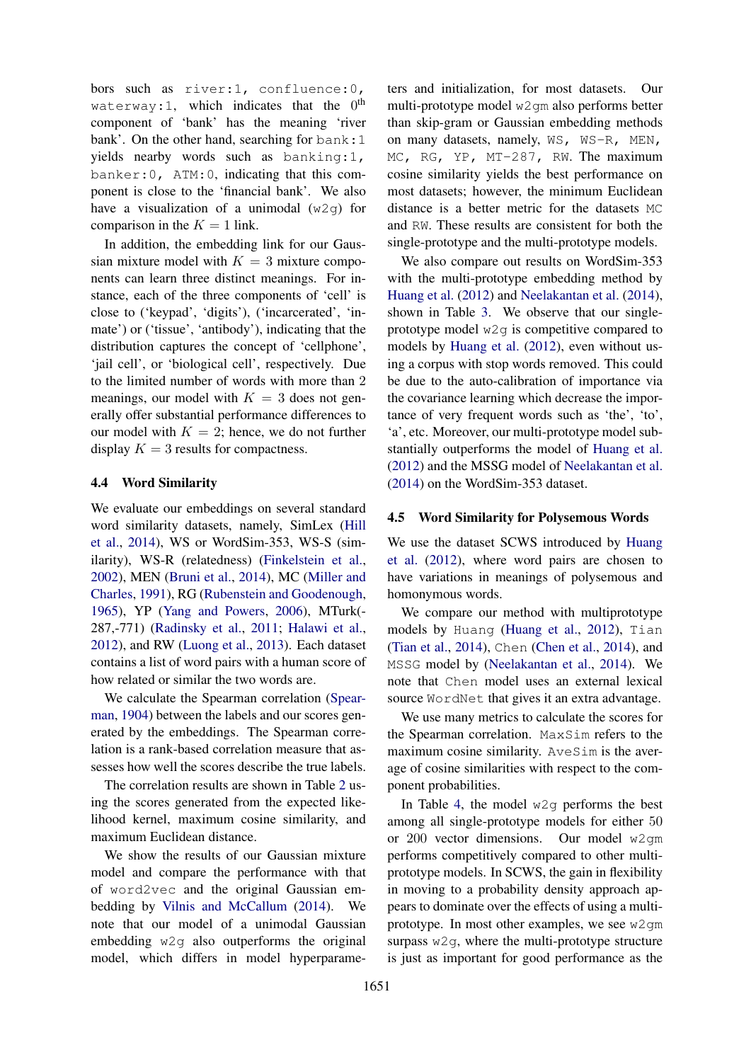bors such as river:1, confluence:0, waterway:1, which indicates that the  $0^{\text{th}}$ component of 'bank' has the meaning 'river bank'. On the other hand, searching for bank: 1 yields nearby words such as banking:1, banker:0, ATM:0, indicating that this component is close to the 'financial bank'. We also have a visualization of a unimodal  $(w2q)$  for comparison in the  $K = 1$  link.

In addition, the embedding link for our Gaussian mixture model with  $K = 3$  mixture components can learn three distinct meanings. For instance, each of the three components of 'cell' is close to ('keypad', 'digits'), ('incarcerated', 'inmate') or ('tissue', 'antibody'), indicating that the distribution captures the concept of 'cellphone', 'jail cell', or 'biological cell', respectively. Due to the limited number of words with more than 2 meanings, our model with  $K = 3$  does not generally offer substantial performance differences to our model with  $K = 2$ ; hence, we do not further display  $K = 3$  results for compactness.

### 4.4 Word Similarity

We evaluate our embeddings on several standard word similarity datasets, namely, SimLex (Hill et al., 2014), WS or WordSim-353, WS-S (similarity), WS-R (relatedness) (Finkelstein et al., 2002), MEN (Bruni et al., 2014), MC (Miller and Charles, 1991), RG (Rubenstein and Goodenough, 1965), YP (Yang and Powers, 2006), MTurk(- 287,-771) (Radinsky et al., 2011; Halawi et al., 2012), and RW (Luong et al., 2013). Each dataset contains a list of word pairs with a human score of how related or similar the two words are.

We calculate the Spearman correlation (Spearman, 1904) between the labels and our scores generated by the embeddings. The Spearman correlation is a rank-based correlation measure that assesses how well the scores describe the true labels.

The correlation results are shown in Table 2 using the scores generated from the expected likelihood kernel, maximum cosine similarity, and maximum Euclidean distance.

We show the results of our Gaussian mixture model and compare the performance with that of word2vec and the original Gaussian embedding by Vilnis and McCallum (2014). We note that our model of a unimodal Gaussian embedding w2g also outperforms the original model, which differs in model hyperparameters and initialization, for most datasets. Our multi-prototype model w2gm also performs better than skip-gram or Gaussian embedding methods on many datasets, namely, WS, WS-R, MEN, MC, RG, YP, MT-287, RW. The maximum cosine similarity yields the best performance on most datasets; however, the minimum Euclidean distance is a better metric for the datasets MC and RW. These results are consistent for both the single-prototype and the multi-prototype models.

We also compare out results on WordSim-353 with the multi-prototype embedding method by Huang et al. (2012) and Neelakantan et al. (2014), shown in Table 3. We observe that our singleprototype model  $w2q$  is competitive compared to models by Huang et al. (2012), even without using a corpus with stop words removed. This could be due to the auto-calibration of importance via the covariance learning which decrease the importance of very frequent words such as 'the', 'to', 'a', etc. Moreover, our multi-prototype model substantially outperforms the model of Huang et al. (2012) and the MSSG model of Neelakantan et al. (2014) on the WordSim-353 dataset.

### 4.5 Word Similarity for Polysemous Words

We use the dataset SCWS introduced by Huang et al. (2012), where word pairs are chosen to have variations in meanings of polysemous and homonymous words.

We compare our method with multiprototype models by Huang (Huang et al., 2012), Tian (Tian et al., 2014), Chen (Chen et al., 2014), and MSSG model by (Neelakantan et al., 2014). We note that Chen model uses an external lexical source WordNet that gives it an extra advantage.

We use many metrics to calculate the scores for the Spearman correlation. MaxSim refers to the maximum cosine similarity. AveSim is the average of cosine similarities with respect to the component probabilities.

In Table 4, the model  $w2q$  performs the best among all single-prototype models for either 50 or 200 vector dimensions. Our model w2gm performs competitively compared to other multiprototype models. In SCWS, the gain in flexibility in moving to a probability density approach appears to dominate over the effects of using a multiprototype. In most other examples, we see w2gm surpass  $w2q$ , where the multi-prototype structure is just as important for good performance as the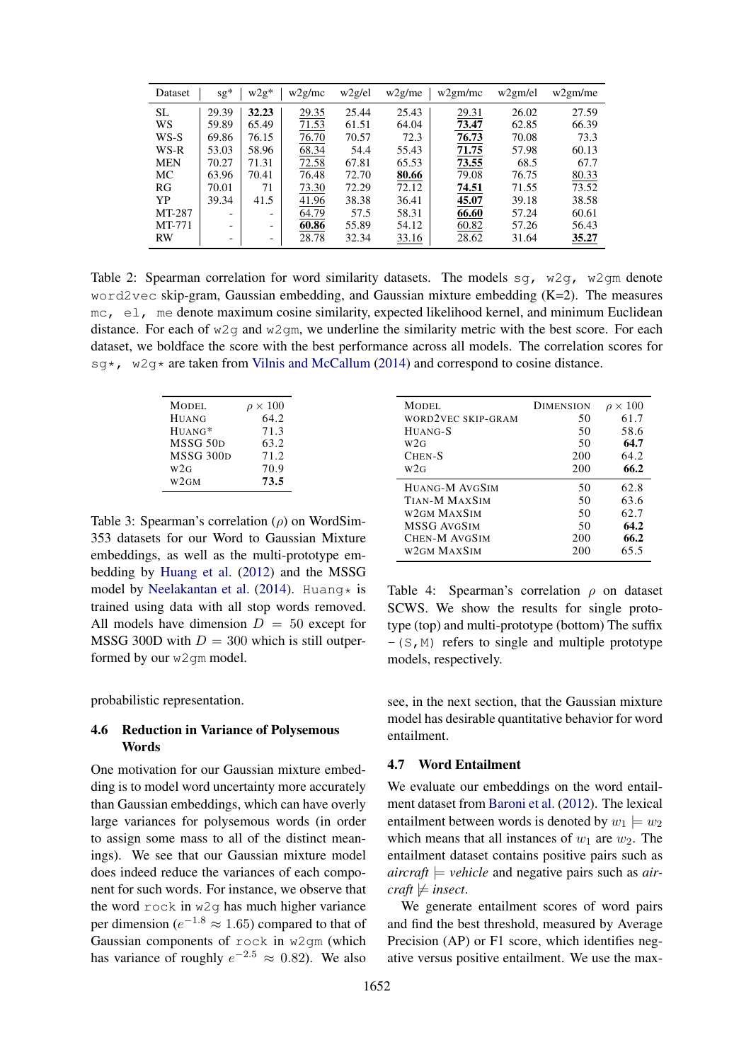| Dataset    | $sg*$ | $w2g*$                       | w2g/mc | w2g/el | $w2g/m$ e | w2gm/mc | w2gm/el | w2gm/me |
|------------|-------|------------------------------|--------|--------|-----------|---------|---------|---------|
| <b>SL</b>  | 29.39 | 32.23                        | 29.35  | 25.44  | 25.43     | 29.31   | 26.02   | 27.59   |
| WS         | 59.89 | 65.49                        | 71.53  | 61.51  | 64.04     | 73.47   | 62.85   | 66.39   |
| WS-S       | 69.86 | 76.15                        | 76.70  | 70.57  | 72.3      | 76.73   | 70.08   | 73.3    |
| WS-R       | 53.03 | 58.96                        | 68.34  | 54.4   | 55.43     | 71.75   | 57.98   | 60.13   |
| <b>MEN</b> | 70.27 | 71.31                        | 72.58  | 67.81  | 65.53     | 73.55   | 68.5    | 67.7    |
| МC         | 63.96 | 70.41                        | 76.48  | 72.70  | 80.66     | 79.08   | 76.75   | 80.33   |
| RG         | 70.01 | 71                           | 73.30  | 72.29  | 72.12     | 74.51   | 71.55   | 73.52   |
| YP         | 39.34 | 41.5                         | 41.96  | 38.38  | 36.41     | 45.07   | 39.18   | 38.58   |
| MT-287     |       | $\overline{\phantom{a}}$     | 64.79  | 57.5   | 58.31     | 66.60   | 57.24   | 60.61   |
| MT-771     |       | $\qquad \qquad \blacksquare$ | 60.86  | 55.89  | 54.12     | 60.82   | 57.26   | 56.43   |
| RW         | -     | $\overline{\phantom{a}}$     | 28.78  | 32.34  | 33.16     | 28.62   | 31.64   | 35.27   |

Table 2: Spearman correlation for word similarity datasets. The models sq,  $w2q$ ,  $w2qm$  denote word2vec skip-gram, Gaussian embedding, and Gaussian mixture embedding  $(K=2)$ . The measures mc, el, me denote maximum cosine similarity, expected likelihood kernel, and minimum Euclidean distance. For each of  $w2q$  and  $w2qm$ , we underline the similarity metric with the best score. For each dataset, we boldface the score with the best performance across all models. The correlation scores for  $sq*$ ,  $w2q*$  are taken from Vilnis and McCallum (2014) and correspond to cosine distance.

| <b>MODEL</b>          | $\rho \times 100$ |
|-----------------------|-------------------|
| <b>HUANG</b>          | 64.2              |
| $HUANG*$              | 71.3              |
| MSSG 50 <sub>D</sub>  | 63.2              |
| MSSG 300 <sub>D</sub> | 71.2              |
| W2G                   | 70.9              |
| W2GM                  | 73.5              |

Table 3: Spearman's correlation  $(\rho)$  on WordSim-353 datasets for our Word to Gaussian Mixture embeddings, as well as the multi-prototype embedding by Huang et al. (2012) and the MSSG model by Neelakantan et al. (2014). Huang\* is trained using data with all stop words removed. All models have dimension  $D = 50$  except for MSSG 300D with  $D = 300$  which is still outperformed by our w2gm model.

probabilistic representation.

### 4.6 Reduction in Variance of Polysemous Words

One motivation for our Gaussian mixture embedding is to model word uncertainty more accurately than Gaussian embeddings, which can have overly large variances for polysemous words (in order to assign some mass to all of the distinct meanings). We see that our Gaussian mixture model does indeed reduce the variances of each component for such words. For instance, we observe that the word rock in w2g has much higher variance per dimension ( $e^{-1.8} \approx 1.65$ ) compared to that of Gaussian components of rock in w2gm (which has variance of roughly  $e^{-2.5} \approx 0.82$ ). We also

| MODEL.             | <b>DIMENSION</b> | $\times$ 100<br>$\mathcal{D}$ |
|--------------------|------------------|-------------------------------|
| WORD2VEC SKIP-GRAM | 50               | 61.7                          |
| HUANG-S            | 50               | 58.6                          |
| W2G                | 50               | 64.7                          |
| $CHEN-S$           | 200              | 64.2                          |
| W2G                | 200              | 66.2                          |
| HUANG-M AVGSIM     | 50               | 62.8                          |
| TIAN-M MAXSIM      | 50               | 63.6                          |
| W2GM MAXSIM        | 50               | 62.7                          |
| MSSG AVGSIM        | 50               | 64.2                          |
| CHEN-M AVGSIM      | 200              | 66.2                          |
| W2GM MAXSIM        | 200              | 65.5                          |

Table 4: Spearman's correlation  $\rho$  on dataset SCWS. We show the results for single prototype (top) and multi-prototype (bottom) The suffix  $-(S, M)$  refers to single and multiple prototype models, respectively.

see, in the next section, that the Gaussian mixture model has desirable quantitative behavior for word entailment.

### 4.7 Word Entailment

We evaluate our embeddings on the word entailment dataset from Baroni et al. (2012). The lexical entailment between words is denoted by  $w_1 \models w_2$ which means that all instances of  $w_1$  are  $w_2$ . The entailment dataset contains positive pairs such as  $\textit{aircraft} \models \textit{vehicle}$  and negative pairs such as *air* $craft \not\models insect.$ 

We generate entailment scores of word pairs and find the best threshold, measured by Average Precision (AP) or F1 score, which identifies negative versus positive entailment. We use the max-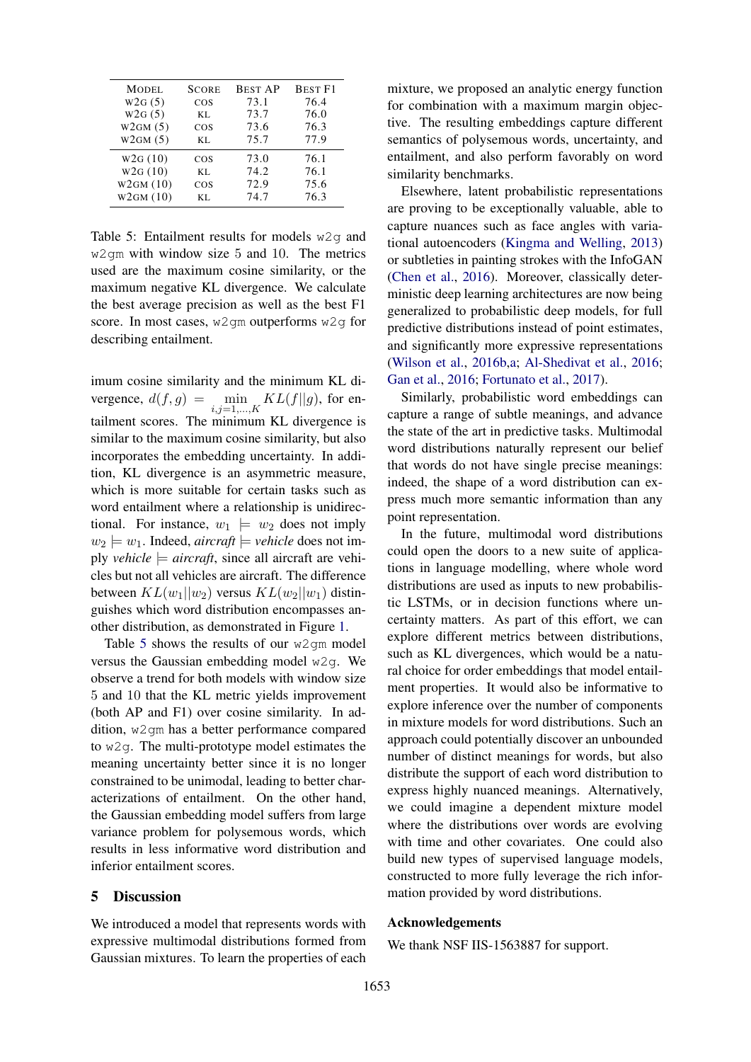| MODEL.   | <b>SCORE</b> | <b>BEST AP</b> | <b>BEST F1</b> |
|----------|--------------|----------------|----------------|
| W2G(5)   | $\cos$       | 73.1           | 76.4           |
| W2G(5)   | KL.          | 73.7           | 76.0           |
| W2GM(5)  | COS          | 73.6           | 76.3           |
| W2GM(5)  | KL.          | 75.7           | 77.9           |
| W2G(10)  | COS          | 73.0           | 76.1           |
| W2G(10)  | KL.          | 74.2           | 76.1           |
| W2GM(10) | COS          | 72.9           | 75.6           |
| W2GM(10) | KL.          | 74.7           | 76.3           |

Table 5: Entailment results for models w2g and w2gm with window size 5 and 10. The metrics used are the maximum cosine similarity, or the maximum negative KL divergence. We calculate the best average precision as well as the best F1 score. In most cases, w2qm outperforms w2q for describing entailment.

imum cosine similarity and the minimum KL divergence,  $d(f, g) = \min_{i,j=1,\dots,K} KL(f||g)$ , for entailment scores. The minimum KL divergence is similar to the maximum cosine similarity, but also incorporates the embedding uncertainty. In addition, KL divergence is an asymmetric measure, which is more suitable for certain tasks such as word entailment where a relationship is unidirectional. For instance,  $w_1 \models w_2$  does not imply  $w_2 \models w_1$ . Indeed, *aircraft*  $\models$  *vehicle* does not imply *vehicle*  $\models$  *aircraft*, since all aircraft are vehicles but not all vehicles are aircraft. The difference between  $KL(w_1||w_2)$  versus  $KL(w_2||w_1)$  distinguishes which word distribution encompasses another distribution, as demonstrated in Figure 1.

Table 5 shows the results of our w2gm model versus the Gaussian embedding model w2g. We observe a trend for both models with window size 5 and 10 that the KL metric yields improvement (both AP and F1) over cosine similarity. In addition, w2gm has a better performance compared to w2g. The multi-prototype model estimates the meaning uncertainty better since it is no longer constrained to be unimodal, leading to better characterizations of entailment. On the other hand, the Gaussian embedding model suffers from large variance problem for polysemous words, which results in less informative word distribution and inferior entailment scores.

### 5 Discussion

We introduced a model that represents words with expressive multimodal distributions formed from Gaussian mixtures. To learn the properties of each mixture, we proposed an analytic energy function for combination with a maximum margin objective. The resulting embeddings capture different semantics of polysemous words, uncertainty, and entailment, and also perform favorably on word similarity benchmarks.

Elsewhere, latent probabilistic representations are proving to be exceptionally valuable, able to capture nuances such as face angles with variational autoencoders (Kingma and Welling, 2013) or subtleties in painting strokes with the InfoGAN (Chen et al., 2016). Moreover, classically deterministic deep learning architectures are now being generalized to probabilistic deep models, for full predictive distributions instead of point estimates, and significantly more expressive representations (Wilson et al., 2016b,a; Al-Shedivat et al., 2016; Gan et al., 2016; Fortunato et al., 2017).

Similarly, probabilistic word embeddings can capture a range of subtle meanings, and advance the state of the art in predictive tasks. Multimodal word distributions naturally represent our belief that words do not have single precise meanings: indeed, the shape of a word distribution can express much more semantic information than any point representation.

In the future, multimodal word distributions could open the doors to a new suite of applications in language modelling, where whole word distributions are used as inputs to new probabilistic LSTMs, or in decision functions where uncertainty matters. As part of this effort, we can explore different metrics between distributions, such as KL divergences, which would be a natural choice for order embeddings that model entailment properties. It would also be informative to explore inference over the number of components in mixture models for word distributions. Such an approach could potentially discover an unbounded number of distinct meanings for words, but also distribute the support of each word distribution to express highly nuanced meanings. Alternatively, we could imagine a dependent mixture model where the distributions over words are evolving with time and other covariates. One could also build new types of supervised language models, constructed to more fully leverage the rich information provided by word distributions.

#### Acknowledgements

We thank NSF IIS-1563887 for support.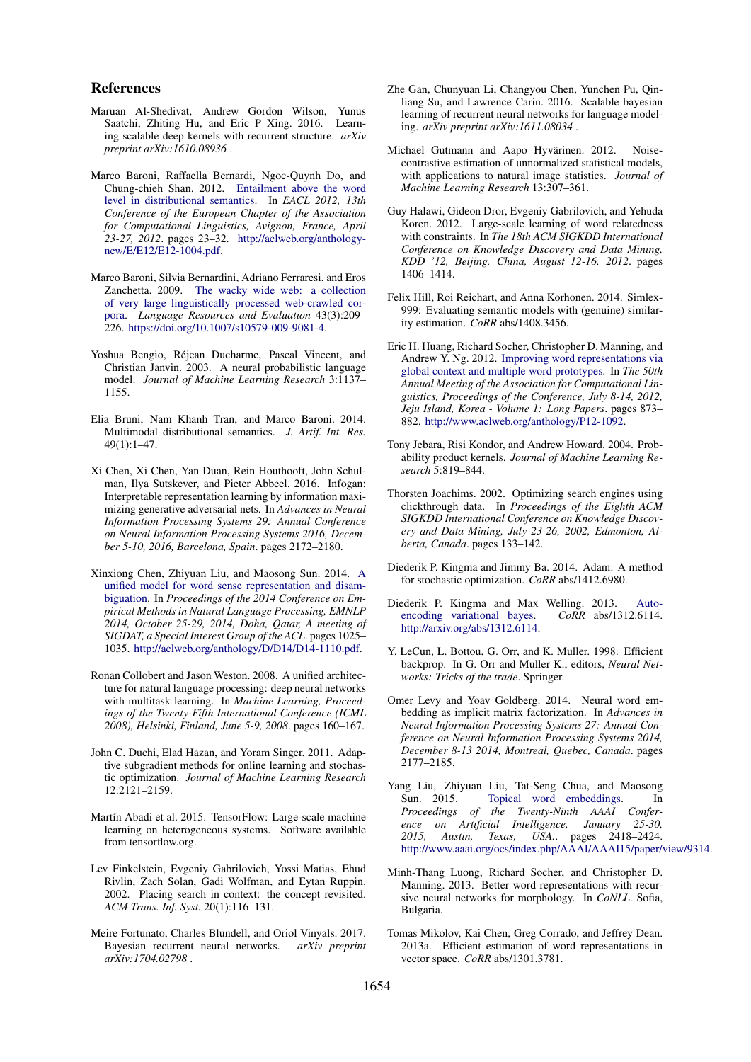### References

- Maruan Al-Shedivat, Andrew Gordon Wilson, Yunus Saatchi, Zhiting Hu, and Eric P Xing. 2016. Learning scalable deep kernels with recurrent structure. *arXiv preprint arXiv:1610.08936* .
- Marco Baroni, Raffaella Bernardi, Ngoc-Quynh Do, and Chung-chieh Shan. 2012. Entailment above the word level in distributional semantics. In *EACL 2012, 13th Conference of the European Chapter of the Association for Computational Linguistics, Avignon, France, April 23-27, 2012*. pages 23–32. http://aclweb.org/anthologynew/E/E12/E12-1004.pdf.
- Marco Baroni, Silvia Bernardini, Adriano Ferraresi, and Eros Zanchetta. 2009. The wacky wide web: a collection of very large linguistically processed web-crawled corpora. *Language Resources and Evaluation* 43(3):209– 226. https://doi.org/10.1007/s10579-009-9081-4.
- Yoshua Bengio, Rejean Ducharme, Pascal Vincent, and ´ Christian Janvin. 2003. A neural probabilistic language model. *Journal of Machine Learning Research* 3:1137– 1155.
- Elia Bruni, Nam Khanh Tran, and Marco Baroni. 2014. Multimodal distributional semantics. *J. Artif. Int. Res.* 49(1):1–47.
- Xi Chen, Xi Chen, Yan Duan, Rein Houthooft, John Schulman, Ilya Sutskever, and Pieter Abbeel. 2016. Infogan: Interpretable representation learning by information maximizing generative adversarial nets. In *Advances in Neural Information Processing Systems 29: Annual Conference on Neural Information Processing Systems 2016, December 5-10, 2016, Barcelona, Spain*. pages 2172–2180.
- Xinxiong Chen, Zhiyuan Liu, and Maosong Sun. 2014. A unified model for word sense representation and disambiguation. In *Proceedings of the 2014 Conference on Empirical Methods in Natural Language Processing, EMNLP 2014, October 25-29, 2014, Doha, Qatar, A meeting of SIGDAT, a Special Interest Group of the ACL*. pages 1025– 1035. http://aclweb.org/anthology/D/D14/D14-1110.pdf.
- Ronan Collobert and Jason Weston. 2008. A unified architecture for natural language processing: deep neural networks with multitask learning. In *Machine Learning, Proceedings of the Twenty-Fifth International Conference (ICML 2008), Helsinki, Finland, June 5-9, 2008*. pages 160–167.
- John C. Duchi, Elad Hazan, and Yoram Singer. 2011. Adaptive subgradient methods for online learning and stochastic optimization. *Journal of Machine Learning Research* 12:2121–2159.
- Martín Abadi et al. 2015. TensorFlow: Large-scale machine learning on heterogeneous systems. Software available from tensorflow.org.
- Lev Finkelstein, Evgeniy Gabrilovich, Yossi Matias, Ehud Rivlin, Zach Solan, Gadi Wolfman, and Eytan Ruppin. 2002. Placing search in context: the concept revisited. *ACM Trans. Inf. Syst.* 20(1):116–131.
- Meire Fortunato, Charles Blundell, and Oriol Vinyals. 2017. Bayesian recurrent neural networks. *arXiv preprint arXiv:1704.02798* .
- Zhe Gan, Chunyuan Li, Changyou Chen, Yunchen Pu, Qinliang Su, and Lawrence Carin. 2016. Scalable bayesian learning of recurrent neural networks for language modeling. *arXiv preprint arXiv:1611.08034* .
- Michael Gutmann and Aapo Hyvärinen. 2012. Noisecontrastive estimation of unnormalized statistical models, with applications to natural image statistics. *Journal of Machine Learning Research* 13:307–361.
- Guy Halawi, Gideon Dror, Evgeniy Gabrilovich, and Yehuda Koren. 2012. Large-scale learning of word relatedness with constraints. In *The 18th ACM SIGKDD International Conference on Knowledge Discovery and Data Mining, KDD '12, Beijing, China, August 12-16, 2012*. pages 1406–1414.
- Felix Hill, Roi Reichart, and Anna Korhonen. 2014. Simlex-999: Evaluating semantic models with (genuine) similarity estimation. *CoRR* abs/1408.3456.
- Eric H. Huang, Richard Socher, Christopher D. Manning, and Andrew Y. Ng. 2012. Improving word representations via global context and multiple word prototypes. In *The 50th Annual Meeting of the Association for Computational Linguistics, Proceedings of the Conference, July 8-14, 2012, Jeju Island, Korea - Volume 1: Long Papers*. pages 873– 882. http://www.aclweb.org/anthology/P12-1092.
- Tony Jebara, Risi Kondor, and Andrew Howard. 2004. Probability product kernels. *Journal of Machine Learning Research* 5:819–844.
- Thorsten Joachims. 2002. Optimizing search engines using clickthrough data. In *Proceedings of the Eighth ACM SIGKDD International Conference on Knowledge Discovery and Data Mining, July 23-26, 2002, Edmonton, Alberta, Canada*. pages 133–142.
- Diederik P. Kingma and Jimmy Ba. 2014. Adam: A method for stochastic optimization. *CoRR* abs/1412.6980.
- Diederik P. Kingma and Max Welling. 2013. Autoencoding variational bayes. *CoRR* abs/1312.6114. http://arxiv.org/abs/1312.6114.
- Y. LeCun, L. Bottou, G. Orr, and K. Muller. 1998. Efficient backprop. In G. Orr and Muller K., editors, *Neural Networks: Tricks of the trade*. Springer.
- Omer Levy and Yoav Goldberg. 2014. Neural word embedding as implicit matrix factorization. In *Advances in Neural Information Processing Systems 27: Annual Conference on Neural Information Processing Systems 2014, December 8-13 2014, Montreal, Quebec, Canada*. pages 2177–2185.
- Yang Liu, Zhiyuan Liu, Tat-Seng Chua, and Maosong Sun. 2015. Topical word embeddings. In *Proceedings of the Twenty-Ninth AAAI Conference on Artificial Intelligence, January 25-30, 2015, Austin, Texas, USA.*. pages 2418–2424. http://www.aaai.org/ocs/index.php/AAAI/AAAI15/paper/view/9314.
- Minh-Thang Luong, Richard Socher, and Christopher D. Manning. 2013. Better word representations with recursive neural networks for morphology. In *CoNLL*. Sofia, Bulgaria.
- Tomas Mikolov, Kai Chen, Greg Corrado, and Jeffrey Dean. 2013a. Efficient estimation of word representations in vector space. *CoRR* abs/1301.3781.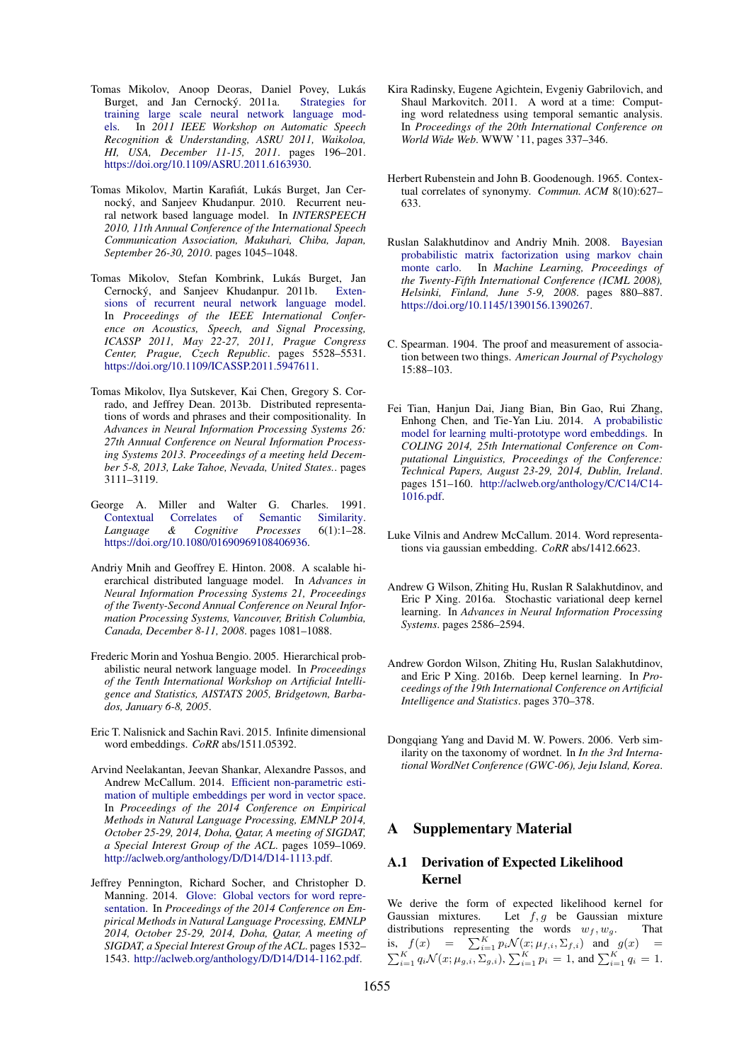- Tomas Mikolov, Anoop Deoras, Daniel Povey, Lukás Burget, and Jan Cernocký. 2011a. Strategies for training large scale neural network language models. In *2011 IEEE Workshop on Automatic Speech Recognition & Understanding, ASRU 2011, Waikoloa, HI, USA, December 11-15, 2011*. pages 196–201. https://doi.org/10.1109/ASRU.2011.6163930.
- Tomas Mikolov, Martin Karafiát, Lukás Burget, Jan Cernocký, and Sanjeev Khudanpur. 2010. Recurrent neural network based language model. In *INTERSPEECH 2010, 11th Annual Conference of the International Speech Communication Association, Makuhari, Chiba, Japan, September 26-30, 2010*. pages 1045–1048.
- Tomas Mikolov, Stefan Kombrink, Lukás Burget, Jan Cernocky, and Sanjeev Khudanpur. 2011b. ´ Extensions of recurrent neural network language model. In *Proceedings of the IEEE International Conference on Acoustics, Speech, and Signal Processing, ICASSP 2011, May 22-27, 2011, Prague Congress Center, Prague, Czech Republic*. pages 5528–5531. https://doi.org/10.1109/ICASSP.2011.5947611.
- Tomas Mikolov, Ilya Sutskever, Kai Chen, Gregory S. Corrado, and Jeffrey Dean. 2013b. Distributed representations of words and phrases and their compositionality. In *Advances in Neural Information Processing Systems 26: 27th Annual Conference on Neural Information Processing Systems 2013. Proceedings of a meeting held December 5-8, 2013, Lake Tahoe, Nevada, United States.*. pages 3111–3119.
- George A. Miller and Walter G. Charles. 1991.<br>Contextual Correlates of Semantic Similarity. Contextual Correlates<br>
Language & Cogn *Language & Cognitive Processes* 6(1):1–28. https://doi.org/10.1080/01690969108406936.
- Andriy Mnih and Geoffrey E. Hinton. 2008. A scalable hierarchical distributed language model. In *Advances in Neural Information Processing Systems 21, Proceedings of the Twenty-Second Annual Conference on Neural Information Processing Systems, Vancouver, British Columbia, Canada, December 8-11, 2008*. pages 1081–1088.
- Frederic Morin and Yoshua Bengio. 2005. Hierarchical probabilistic neural network language model. In *Proceedings of the Tenth International Workshop on Artificial Intelligence and Statistics, AISTATS 2005, Bridgetown, Barbados, January 6-8, 2005*.
- Eric T. Nalisnick and Sachin Ravi. 2015. Infinite dimensional word embeddings. *CoRR* abs/1511.05392.
- Arvind Neelakantan, Jeevan Shankar, Alexandre Passos, and Andrew McCallum. 2014. Efficient non-parametric estimation of multiple embeddings per word in vector space. In *Proceedings of the 2014 Conference on Empirical Methods in Natural Language Processing, EMNLP 2014, October 25-29, 2014, Doha, Qatar, A meeting of SIGDAT, a Special Interest Group of the ACL*. pages 1059–1069. http://aclweb.org/anthology/D/D14/D14-1113.pdf.
- Jeffrey Pennington, Richard Socher, and Christopher D. Manning. 2014. Glove: Global vectors for word representation. In *Proceedings of the 2014 Conference on Empirical Methods in Natural Language Processing, EMNLP 2014, October 25-29, 2014, Doha, Qatar, A meeting of SIGDAT, a Special Interest Group of the ACL*. pages 1532– 1543. http://aclweb.org/anthology/D/D14/D14-1162.pdf.
- Kira Radinsky, Eugene Agichtein, Evgeniy Gabrilovich, and Shaul Markovitch. 2011. A word at a time: Computing word relatedness using temporal semantic analysis. In *Proceedings of the 20th International Conference on World Wide Web*. WWW '11, pages 337–346.
- Herbert Rubenstein and John B. Goodenough. 1965. Contextual correlates of synonymy. *Commun. ACM* 8(10):627– 633.
- Ruslan Salakhutdinov and Andriy Mnih. 2008. Bayesian probabilistic matrix factorization using markov chain monte carlo. In *Machine Learning, Proceedings of the Twenty-Fifth International Conference (ICML 2008), Helsinki, Finland, June 5-9, 2008*. pages 880–887. https://doi.org/10.1145/1390156.1390267.
- C. Spearman. 1904. The proof and measurement of association between two things. *American Journal of Psychology* 15:88–103.
- Fei Tian, Hanjun Dai, Jiang Bian, Bin Gao, Rui Zhang, Enhong Chen, and Tie-Yan Liu. 2014. A probabilistic model for learning multi-prototype word embeddings. In *COLING 2014, 25th International Conference on Computational Linguistics, Proceedings of the Conference: Technical Papers, August 23-29, 2014, Dublin, Ireland*. pages 151–160. http://aclweb.org/anthology/C/C14/C14- 1016.pdf.
- Luke Vilnis and Andrew McCallum. 2014. Word representations via gaussian embedding. *CoRR* abs/1412.6623.
- Andrew G Wilson, Zhiting Hu, Ruslan R Salakhutdinov, and Eric P Xing. 2016a. Stochastic variational deep kernel learning. In *Advances in Neural Information Processing Systems*. pages 2586–2594.
- Andrew Gordon Wilson, Zhiting Hu, Ruslan Salakhutdinov, and Eric P Xing. 2016b. Deep kernel learning. In *Proceedings of the 19th International Conference on Artificial Intelligence and Statistics*. pages 370–378.
- Dongqiang Yang and David M. W. Powers. 2006. Verb similarity on the taxonomy of wordnet. In *In the 3rd International WordNet Conference (GWC-06), Jeju Island, Korea*.

### A Supplementary Material

### A.1 Derivation of Expected Likelihood Kernel

We derive the form of expected likelihood kernel for Gaussian mixtures. Let  $f, g$  be Gaussian mixture Let  $f, g$  be Gaussian mixture distributions representing the words  $w_f, w_g$ . That is,  $f(x) = \sum_{i=1}^{K} p_i \mathcal{N}(x; \mu_{f,i}, \Sigma_{f,i})$  and  $g(x) = \sum_{i=1}^{K} q_i \mathcal{N}(x; \mu_{g,i}, \Sigma_{g,i}), \sum_{i=1}^{K} p_i = 1$ , and  $\sum_{i=1}^{K} q_i = 1$ .